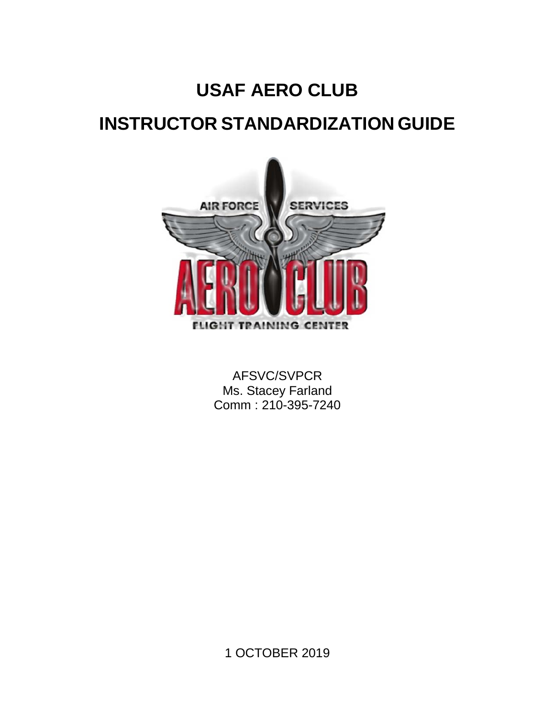# **USAF AERO CLUB INSTRUCTOR STANDARDIZATION GUIDE**



AFSVC/SVPCR Ms. Stacey Farland Comm : 210-395-7240

1 OCTOBER 2019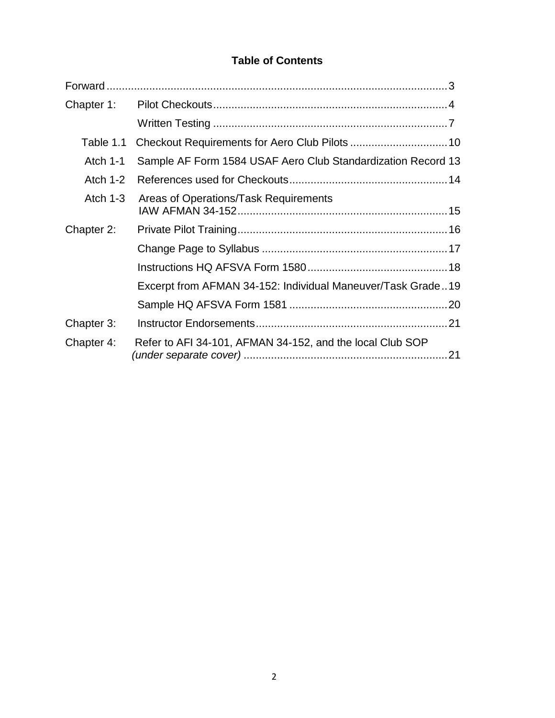# **Table of Contents**

| Chapter 1:      |                                                              |  |
|-----------------|--------------------------------------------------------------|--|
|                 |                                                              |  |
| Table 1.1       |                                                              |  |
| <b>Atch 1-1</b> | Sample AF Form 1584 USAF Aero Club Standardization Record 13 |  |
| Atch $1-2$      |                                                              |  |
| Atch $1-3$      | Areas of Operations/Task Requirements                        |  |
| Chapter 2:      |                                                              |  |
|                 |                                                              |  |
|                 |                                                              |  |
|                 | Excerpt from AFMAN 34-152: Individual Maneuver/Task Grade19  |  |
|                 |                                                              |  |
| Chapter 3:      |                                                              |  |
| Chapter 4:      | Refer to AFI 34-101, AFMAN 34-152, and the local Club SOP    |  |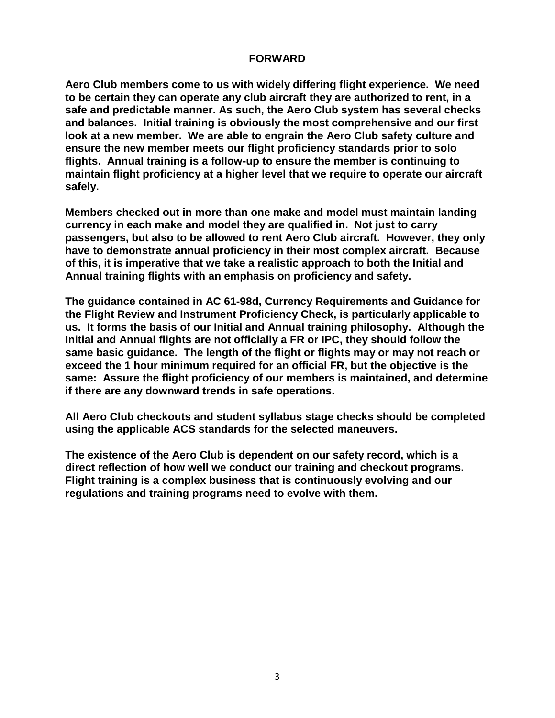#### **FORWARD**

<span id="page-2-0"></span>**Aero Club members come to us with widely differing flight experience. We need to be certain they can operate any club aircraft they are authorized to rent, in a safe and predictable manner. As such, the Aero Club system has several checks and balances. Initial training is obviously the most comprehensive and our first look at a new member. We are able to engrain the Aero Club safety culture and ensure the new member meets our flight proficiency standards prior to solo flights. Annual training is a follow-up to ensure the member is continuing to maintain flight proficiency at a higher level that we require to operate our aircraft safely.** 

**Members checked out in more than one make and model must maintain landing currency in each make and model they are qualified in. Not just to carry passengers, but also to be allowed to rent Aero Club aircraft. However, they only have to demonstrate annual proficiency in their most complex aircraft. Because of this, it is imperative that we take a realistic approach to both the Initial and Annual training flights with an emphasis on proficiency and safety.** 

**The guidance contained in AC 61-98d, Currency Requirements and Guidance for the Flight Review and Instrument Proficiency Check, is particularly applicable to us. It forms the basis of our Initial and Annual training philosophy. Although the Initial and Annual flights are not officially a FR or IPC, they should follow the same basic guidance. The length of the flight or flights may or may not reach or exceed the 1 hour minimum required for an official FR, but the objective is the same: Assure the flight proficiency of our members is maintained, and determine if there are any downward trends in safe operations.** 

**All Aero Club checkouts and student syllabus stage checks should be completed using the applicable ACS standards for the selected maneuvers.**

**The existence of the Aero Club is dependent on our safety record, which is a direct reflection of how well we conduct our training and checkout programs. Flight training is a complex business that is continuously evolving and our regulations and training programs need to evolve with them.**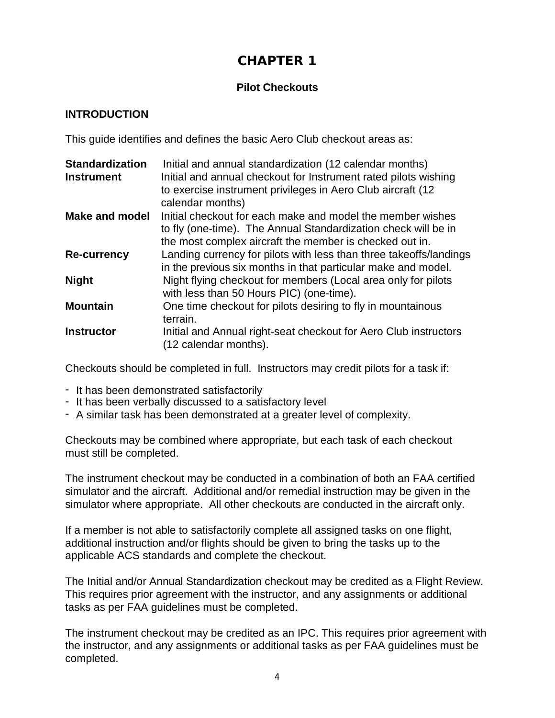# **CHAPTER 1**

# **Pilot Checkouts**

### **INTRODUCTION**

This guide identifies and defines the basic Aero Club checkout areas as:

| <b>Standardization</b> | Initial and annual standardization (12 calendar months)            |
|------------------------|--------------------------------------------------------------------|
| <b>Instrument</b>      | Initial and annual checkout for Instrument rated pilots wishing    |
|                        | to exercise instrument privileges in Aero Club aircraft (12)       |
|                        | calendar months)                                                   |
| <b>Make and model</b>  | Initial checkout for each make and model the member wishes         |
|                        | to fly (one-time). The Annual Standardization check will be in     |
|                        | the most complex aircraft the member is checked out in.            |
| <b>Re-currency</b>     | Landing currency for pilots with less than three takeoffs/landings |
|                        | in the previous six months in that particular make and model.      |
| <b>Night</b>           | Night flying checkout for members (Local area only for pilots      |
|                        | with less than 50 Hours PIC) (one-time).                           |
| <b>Mountain</b>        | One time checkout for pilots desiring to fly in mountainous        |
|                        | terrain.                                                           |
| <b>Instructor</b>      | Initial and Annual right-seat checkout for Aero Club instructors   |
|                        | (12 calendar months).                                              |

Checkouts should be completed in full. Instructors may credit pilots for a task if:

- It has been demonstrated satisfactorily
- It has been verbally discussed to a satisfactory level
- A similar task has been demonstrated at a greater level of complexity.

Checkouts may be combined where appropriate, but each task of each checkout must still be completed.

The instrument checkout may be conducted in a combination of both an FAA certified simulator and the aircraft. Additional and/or remedial instruction may be given in the simulator where appropriate. All other checkouts are conducted in the aircraft only.

If a member is not able to satisfactorily complete all assigned tasks on one flight, additional instruction and/or flights should be given to bring the tasks up to the applicable ACS standards and complete the checkout.

The Initial and/or Annual Standardization checkout may be credited as a Flight Review. This requires prior agreement with the instructor, and any assignments or additional tasks as per FAA guidelines must be completed.

The instrument checkout may be credited as an IPC. This requires prior agreement with the instructor, and any assignments or additional tasks as per FAA guidelines must be completed.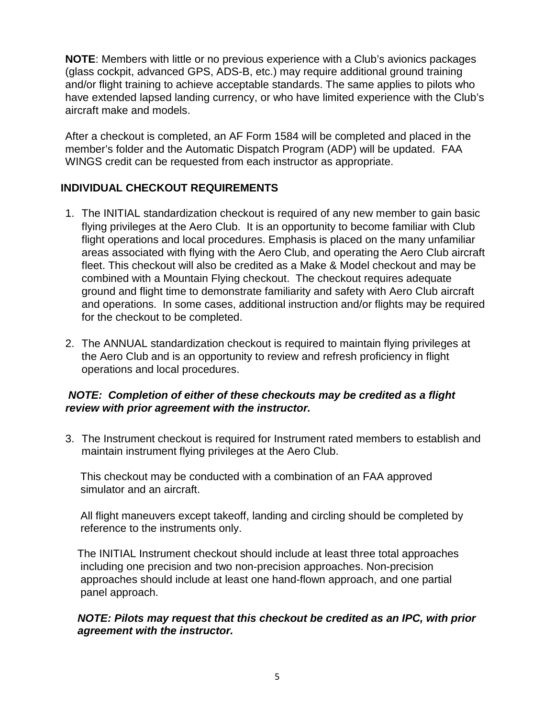**NOTE**: Members with little or no previous experience with a Club's avionics packages (glass cockpit, advanced GPS, ADS-B, etc.) may require additional ground training and/or flight training to achieve acceptable standards. The same applies to pilots who have extended lapsed landing currency, or who have limited experience with the Club's aircraft make and models.

After a checkout is completed, an AF Form 1584 will be completed and placed in the member's folder and the Automatic Dispatch Program (ADP) will be updated. FAA WINGS credit can be requested from each instructor as appropriate.

# **INDIVIDUAL CHECKOUT REQUIREMENTS**

- 1. The INITIAL standardization checkout is required of any new member to gain basic flying privileges at the Aero Club. It is an opportunity to become familiar with Club flight operations and local procedures. Emphasis is placed on the many unfamiliar areas associated with flying with the Aero Club, and operating the Aero Club aircraft fleet. This checkout will also be credited as a Make & Model checkout and may be combined with a Mountain Flying checkout. The checkout requires adequate ground and flight time to demonstrate familiarity and safety with Aero Club aircraft and operations. In some cases, additional instruction and/or flights may be required for the checkout to be completed.
- 2. The ANNUAL standardization checkout is required to maintain flying privileges at the Aero Club and is an opportunity to review and refresh proficiency in flight operations and local procedures.

# *NOTE: Completion of either of these checkouts may be credited as a flight review with prior agreement with the instructor.*

3. The Instrument checkout is required for Instrument rated members to establish and maintain instrument flying privileges at the Aero Club.

 This checkout may be conducted with a combination of an FAA approved simulator and an aircraft.

 All flight maneuvers except takeoff, landing and circling should be completed by reference to the instruments only.

 The INITIAL Instrument checkout should include at least three total approaches including one precision and two non-precision approaches. Non-precision approaches should include at least one hand-flown approach, and one partial panel approach.

### *NOTE: Pilots may request that this checkout be credited as an IPC, with prior agreement with the instructor.*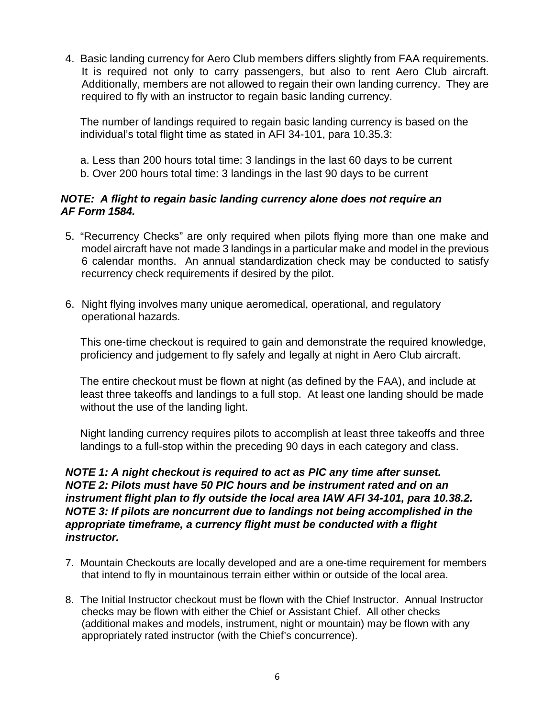4. Basic landing currency for Aero Club members differs slightly from FAA requirements. It is required not only to carry passengers, but also to rent Aero Club aircraft. Additionally, members are not allowed to regain their own landing currency. They are required to fly with an instructor to regain basic landing currency.

The number of landings required to regain basic landing currency is based on the individual's total flight time as stated in AFI 34-101, para 10.35.3:

a. Less than 200 hours total time: 3 landings in the last 60 days to be current b. Over 200 hours total time: 3 landings in the last 90 days to be current

### *NOTE: A flight to regain basic landing currency alone does not require an AF Form 1584.*

- 5. "Recurrency Checks" are only required when pilots flying more than one make and model aircraft have not made 3 landings in a particular make and model in the previous 6 calendar months. An annual standardization check may be conducted to satisfy recurrency check requirements if desired by the pilot.
- 6. Night flying involves many unique aeromedical, operational, and regulatory operational hazards.

 This one-time checkout is required to gain and demonstrate the required knowledge, proficiency and judgement to fly safely and legally at night in Aero Club aircraft.

The entire checkout must be flown at night (as defined by the FAA), and include at least three takeoffs and landings to a full stop. At least one landing should be made without the use of the landing light.

Night landing currency requires pilots to accomplish at least three takeoffs and three landings to a full-stop within the preceding 90 days in each category and class.

# *NOTE 1: A night checkout is required to act as PIC any time after sunset. NOTE 2: Pilots must have 50 PIC hours and be instrument rated and on an instrument flight plan to fly outside the local area IAW AFI 34-101, para 10.38.2. NOTE 3: If pilots are noncurrent due to landings not being accomplished in the appropriate timeframe, a currency flight must be conducted with a flight instructor.*

- 7. Mountain Checkouts are locally developed and are a one-time requirement for members that intend to fly in mountainous terrain either within or outside of the local area.
- 8. The Initial Instructor checkout must be flown with the Chief Instructor. Annual Instructor checks may be flown with either the Chief or Assistant Chief. All other checks (additional makes and models, instrument, night or mountain) may be flown with any appropriately rated instructor (with the Chief's concurrence).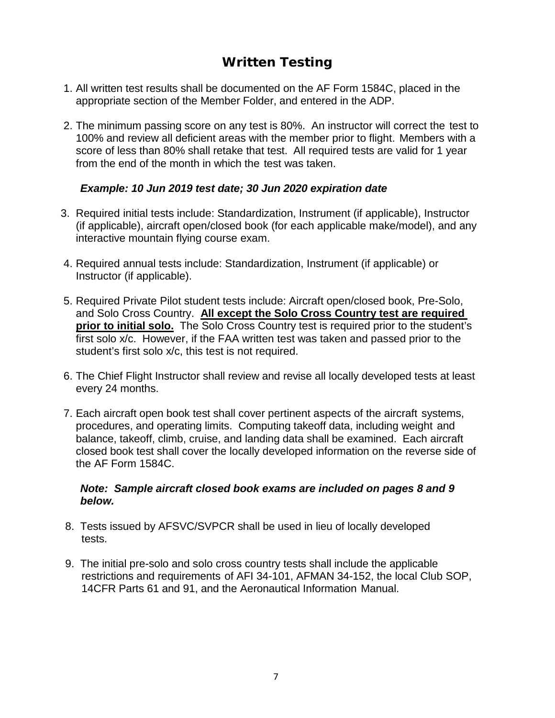# **Written Testing**

- <span id="page-6-0"></span>1. All written test results shall be documented on the AF Form 1584C, placed in the appropriate section of the Member Folder, and entered in the ADP.
- 2. The minimum passing score on any test is 80%. An instructor will correct the test to 100% and review all deficient areas with the member prior to flight. Members with a score of less than 80% shall retake that test. All required tests are valid for 1 year from the end of the month in which the test was taken.

### *Example: 10 Jun 2019 test date; 30 Jun 2020 expiration date*

- 3. Required initial tests include: Standardization, Instrument (if applicable), Instructor (if applicable), aircraft open/closed book (for each applicable make/model), and any interactive mountain flying course exam.
- 4. Required annual tests include: Standardization, Instrument (if applicable) or Instructor (if applicable).
- 5. Required Private Pilot student tests include: Aircraft open/closed book, Pre-Solo, and Solo Cross Country. **All except the Solo Cross Country test are required prior to initial solo.** The Solo Cross Country test is required prior to the student's first solo x/c. However, if the FAA written test was taken and passed prior to the student's first solo x/c, this test is not required.
- 6. The Chief Flight Instructor shall review and revise all locally developed tests at least every 24 months.
- 7. Each aircraft open book test shall cover pertinent aspects of the aircraft systems, procedures, and operating limits. Computing takeoff data, including weight and balance, takeoff, climb, cruise, and landing data shall be examined. Each aircraft closed book test shall cover the locally developed information on the reverse side of the AF Form 1584C.

### *Note: Sample aircraft closed book exams are included on pages 8 and 9 below.*

- 8. Tests issued by AFSVC/SVPCR shall be used in lieu of locally developed tests.
- 9. The initial pre-solo and solo cross country tests shall include the applicable restrictions and requirements of AFI 34-101, AFMAN 34-152, the local Club SOP, 14CFR Parts 61 and 91, and the Aeronautical Information Manual.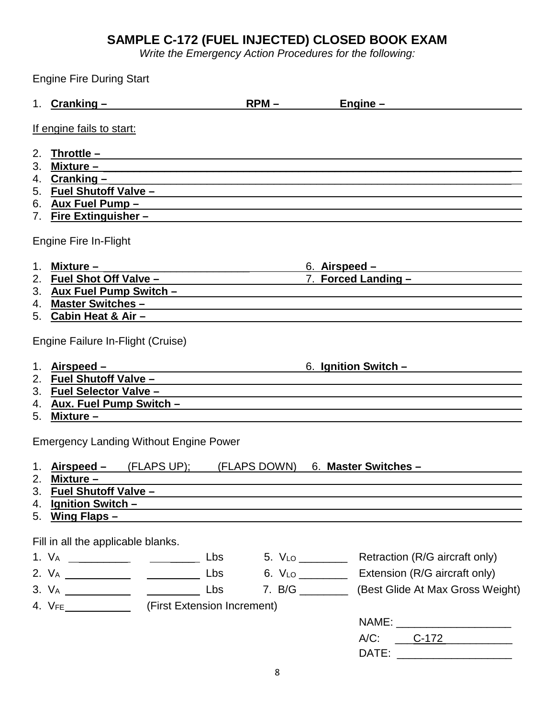# **SAMPLE C-172 (FUEL INJECTED) CLOSED BOOK EXAM**

*Write the Emergency Action Procedures for the following:*

<span id="page-7-0"></span>Engine Fire During Start

|                      | 1. $Cranking -$                                                                                                                                                                                                                                                                                       | $RPM -$                                                              |               | Engine $-$                                                                                                                                                                                                                                                                        |
|----------------------|-------------------------------------------------------------------------------------------------------------------------------------------------------------------------------------------------------------------------------------------------------------------------------------------------------|----------------------------------------------------------------------|---------------|-----------------------------------------------------------------------------------------------------------------------------------------------------------------------------------------------------------------------------------------------------------------------------------|
|                      | If engine fails to start:                                                                                                                                                                                                                                                                             |                                                                      |               |                                                                                                                                                                                                                                                                                   |
| 2.<br>3.             | Throttle $-$<br><u> 1989 - Johann Stoff, deutscher Stoff, der Stoff, der Stoff, der Stoff, der Stoff, der Stoff, der Stoff, der S</u><br>4. $Cranking -$<br>7. Fire Extinguisher – Contract and the Extinguisher – Contract and the Extinguisher – Contract and The Extinguisher                      |                                                                      |               |                                                                                                                                                                                                                                                                                   |
|                      | Engine Fire In-Flight                                                                                                                                                                                                                                                                                 |                                                                      |               |                                                                                                                                                                                                                                                                                   |
| 1.<br>2.<br>3.<br>4. | Mixture –<br>Master Switches - Master Switches - Master Switches - Master Switches - Master Switches - Master Switches - Master Switches - Master Switches - Master Switches - Master Switches - Master Switches - Master Switches - Master<br>5. Cabin Heat & Air -                                  |                                                                      | 6. Airspeed – | <u> 1989 - Andrea Station Barbara (b. 1989)</u><br>7. Forced Landing - The Contract of the Contract of the Contract of the Contract of the Contract of the Contract of the Contract of the Contract of the Contract of the Contract of the Contract of the Contract of the Contra |
|                      | Engine Failure In-Flight (Cruise)                                                                                                                                                                                                                                                                     |                                                                      |               |                                                                                                                                                                                                                                                                                   |
| 1.<br>5.             | Airspeed -<br>3. Fuel Selector Valve -<br>4. Aux. Fuel Pump Switch -<br>Mixture – the contract of the contract of the contract of the contract of the contract of the contract of the contract of the contract of the contract of the contract of the contract of the contract of the contract of the | <u> 1989 - Johann Barn, fransk politik (d. 1989)</u>                 |               | 6. Ignition Switch -                                                                                                                                                                                                                                                              |
|                      | <b>Emergency Landing Without Engine Power</b>                                                                                                                                                                                                                                                         |                                                                      |               |                                                                                                                                                                                                                                                                                   |
| 1.                   | $Airspeed  (FLAPS UP);$<br>2. Mixture $-$<br>3. Fuel Shutoff Valve -<br>4. Ignition Switch -<br>5. Wing Flaps -                                                                                                                                                                                       | (FLAPS DOWN)<br><u> 1989 - Johann John Stone, mars et al. (1989)</u> |               | 6. Master Switches -                                                                                                                                                                                                                                                              |
|                      | Fill in all the applicable blanks.                                                                                                                                                                                                                                                                    |                                                                      |               |                                                                                                                                                                                                                                                                                   |
|                      |                                                                                                                                                                                                                                                                                                       | Lbs<br>Lbs                                                           |               | Retraction (R/G aircraft only)<br>Extension (R/G aircraft only)<br>7. B/G ____________ (Best Glide At Max Gross Weight)<br>NAME: _______________________                                                                                                                          |
|                      |                                                                                                                                                                                                                                                                                                       |                                                                      |               | A/C: C-172                                                                                                                                                                                                                                                                        |

**DATE:** \_\_\_\_\_\_\_\_\_\_\_\_\_\_\_\_\_\_\_\_\_\_\_\_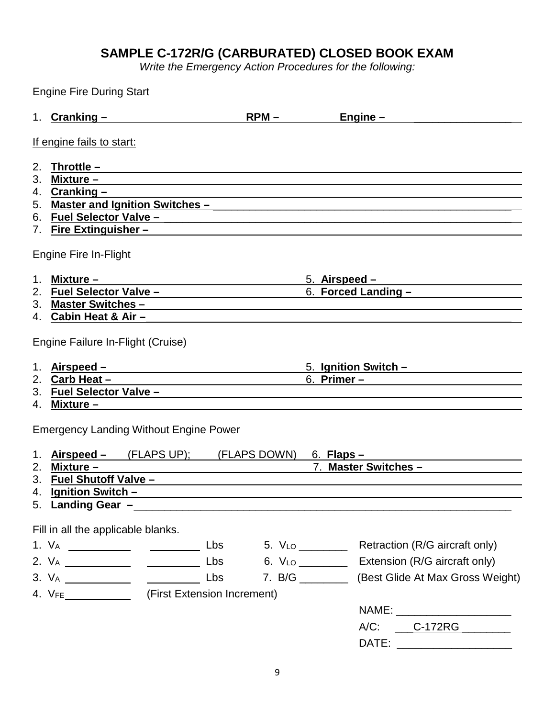# **SAMPLE C-172R/G (CARBURATED) CLOSED BOOK EXAM**

*Write the Emergency Action Procedures for the following:*

|                | <b>Engine Fire During Start</b>                                                                                                                                                                                                      |     |                                                                  |                                                                                                                                                                                                                                      |
|----------------|--------------------------------------------------------------------------------------------------------------------------------------------------------------------------------------------------------------------------------------|-----|------------------------------------------------------------------|--------------------------------------------------------------------------------------------------------------------------------------------------------------------------------------------------------------------------------------|
|                | 1. Cranking -                                                                                                                                                                                                                        |     | $RPM -$                                                          | $Engine -$                                                                                                                                                                                                                           |
|                | If engine fails to start:                                                                                                                                                                                                            |     |                                                                  |                                                                                                                                                                                                                                      |
| 2.             | <u> Throttle – European American American American American American American American American American American </u>                                                                                                               |     |                                                                  |                                                                                                                                                                                                                                      |
| 3 <sub>1</sub> |                                                                                                                                                                                                                                      |     |                                                                  | <u> Mixture – Latin Carl Barbara (Carl Barbara Carl Barbara Carl Barbara Carl Barbara Carl Barbara Carl Barbara Carl Barbara (Carl Barbara Carl Barbara Carl Barbara Carl Barbara Carl Barbara Carl Barbara Carl Barbara Carl Ba</u> |
|                | 4. Cranking –                                                                                                                                                                                                                        |     |                                                                  |                                                                                                                                                                                                                                      |
|                |                                                                                                                                                                                                                                      |     |                                                                  |                                                                                                                                                                                                                                      |
|                |                                                                                                                                                                                                                                      |     |                                                                  |                                                                                                                                                                                                                                      |
|                | 7. Fire Extinguisher -                                                                                                                                                                                                               |     |                                                                  |                                                                                                                                                                                                                                      |
|                | Engine Fire In-Flight                                                                                                                                                                                                                |     |                                                                  |                                                                                                                                                                                                                                      |
|                | 1. Mixture $-$                                                                                                                                                                                                                       |     |                                                                  | 5. Airspeed $-$                                                                                                                                                                                                                      |
|                |                                                                                                                                                                                                                                      |     |                                                                  | 6. Forced Landing -                                                                                                                                                                                                                  |
|                |                                                                                                                                                                                                                                      |     |                                                                  | 3. Master Switches - Contract of the Superior Superior Superior Superior Superior Superior Superior Superior Superior Superior Superior Superior Superior Superior Superior Superior Superior Superior Superior Superior Super       |
|                | 4. Cabin Heat & Air -                                                                                                                                                                                                                |     |                                                                  |                                                                                                                                                                                                                                      |
|                | Engine Failure In-Flight (Cruise)                                                                                                                                                                                                    |     |                                                                  |                                                                                                                                                                                                                                      |
|                | 1. Airspeed – <u>Landelse – Airson – Airson – Airson – Airson – Airson – Airson – Airson – Airson – Airson – Airson – Airson – Airson – Airson – Airson – Airson – Airson – Airson – Airson – Airson – Airson – Airson – Airson </u> |     |                                                                  | 5. Ignition Switch -                                                                                                                                                                                                                 |
|                | 2. $Carb Heat -$                                                                                                                                                                                                                     |     |                                                                  |                                                                                                                                                                                                                                      |
|                |                                                                                                                                                                                                                                      |     |                                                                  | 3. Fuel Selector Valve - Canadian Communication of the Selection of the Selection of the Selection of the Selection                                                                                                                  |
|                | 4. Mixture –                                                                                                                                                                                                                         |     |                                                                  |                                                                                                                                                                                                                                      |
|                | <b>Emergency Landing Without Engine Power</b>                                                                                                                                                                                        |     |                                                                  |                                                                                                                                                                                                                                      |
| 1.             | Airspeed – (FLAPS UP); (FLAPS DOWN) 6. Flaps –                                                                                                                                                                                       |     |                                                                  |                                                                                                                                                                                                                                      |
|                | 2. Mixture -                                                                                                                                                                                                                         |     | <u> 1989 - Johann Stein, mars an t-Amerikaansk kommunister (</u> | 7. Master Switches -                                                                                                                                                                                                                 |
|                | 3. Fuel Shutoff Valve -                                                                                                                                                                                                              |     |                                                                  |                                                                                                                                                                                                                                      |
|                | 4. Ignition Switch -                                                                                                                                                                                                                 |     |                                                                  |                                                                                                                                                                                                                                      |
|                | 5. Landing Gear -                                                                                                                                                                                                                    |     |                                                                  |                                                                                                                                                                                                                                      |
|                | Fill in all the applicable blanks.                                                                                                                                                                                                   |     |                                                                  |                                                                                                                                                                                                                                      |
|                |                                                                                                                                                                                                                                      |     |                                                                  | Retraction (R/G aircraft only)                                                                                                                                                                                                       |
|                |                                                                                                                                                                                                                                      | Lbs |                                                                  | Extension (R/G aircraft only)                                                                                                                                                                                                        |
|                |                                                                                                                                                                                                                                      | Lbs |                                                                  | 7. B/G ____________ (Best Glide At Max Gross Weight)                                                                                                                                                                                 |
|                | 4. VFE _______________ (First Extension Increment)                                                                                                                                                                                   |     |                                                                  |                                                                                                                                                                                                                                      |
|                |                                                                                                                                                                                                                                      |     |                                                                  | NAME: ________________________                                                                                                                                                                                                       |
|                |                                                                                                                                                                                                                                      |     |                                                                  | A/C: _____C-172RG _________                                                                                                                                                                                                          |
|                |                                                                                                                                                                                                                                      |     |                                                                  |                                                                                                                                                                                                                                      |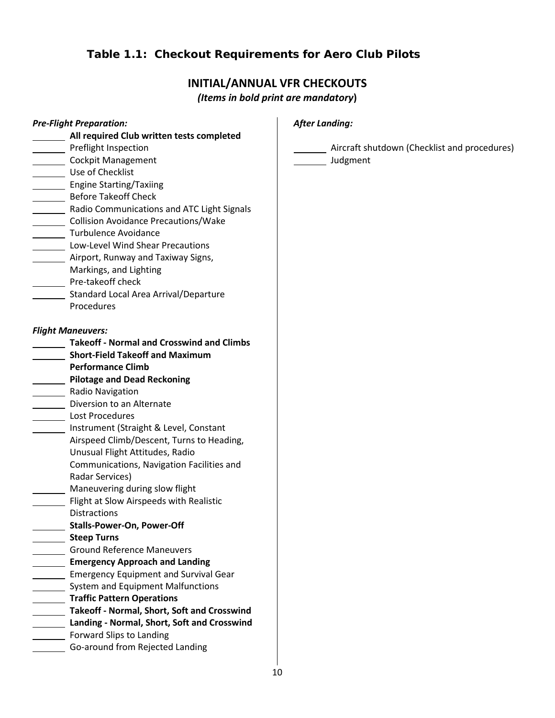# **Table 1.1: Checkout Requirements for Aero Club Pilots**

# **INITIAL/ANNUAL VFR CHECKOUTS**

*(Items in bold print are mandatory***)** 

| <b>Pre-Flight Preparation:</b>                                    | <b>After Landing:</b>                                    |
|-------------------------------------------------------------------|----------------------------------------------------------|
| All required Club written tests completed<br>Preflight Inspection |                                                          |
| Cockpit Management                                                | Aircraft shutdown (Checklist and procedures)<br>Judgment |
| ____ Use of Checklist                                             |                                                          |
| Engine Starting/Taxiing                                           |                                                          |
| Before Takeoff Check                                              |                                                          |
| Radio Communications and ATC Light Signals                        |                                                          |
| ______ Collision Avoidance Precautions/Wake                       |                                                          |
| Turbulence Avoidance                                              |                                                          |
| <b>Low-Level Wind Shear Precautions</b>                           |                                                          |
| Airport, Runway and Taxiway Signs,                                |                                                          |
| Markings, and Lighting                                            |                                                          |
| Pre-takeoff check                                                 |                                                          |
|                                                                   |                                                          |
| Standard Local Area Arrival/Departure<br>Procedures               |                                                          |
|                                                                   |                                                          |
| <b>Flight Maneuvers:</b>                                          |                                                          |
| <b>Takeoff - Normal and Crosswind and Climbs</b>                  |                                                          |
| <b>Short-Field Takeoff and Maximum</b>                            |                                                          |
| <b>Performance Climb</b>                                          |                                                          |
| <b>Pilotage and Dead Reckoning</b>                                |                                                          |
| Radio Navigation                                                  |                                                          |
| Diversion to an Alternate                                         |                                                          |
| Lost Procedures                                                   |                                                          |
| Instrument (Straight & Level, Constant                            |                                                          |
| Airspeed Climb/Descent, Turns to Heading,                         |                                                          |
| Unusual Flight Attitudes, Radio                                   |                                                          |
| Communications, Navigation Facilities and                         |                                                          |
| Radar Services)                                                   |                                                          |
| Maneuvering during slow flight                                    |                                                          |
| Flight at Slow Airspeeds with Realistic                           |                                                          |
| <b>Distractions</b>                                               |                                                          |
| <b>Stalls-Power-On, Power-Off</b>                                 |                                                          |
| <b>Steep Turns</b>                                                |                                                          |
| <b>Ground Reference Maneuvers</b>                                 |                                                          |
| <b>Emergency Approach and Landing</b>                             |                                                          |
| <b>Emergency Equipment and Survival Gear</b>                      |                                                          |
| System and Equipment Malfunctions                                 |                                                          |
| <b>Traffic Pattern Operations</b>                                 |                                                          |
| Takeoff - Normal, Short, Soft and Crosswind                       |                                                          |
| Landing - Normal, Short, Soft and Crosswind                       |                                                          |
| Forward Slips to Landing                                          |                                                          |
|                                                                   |                                                          |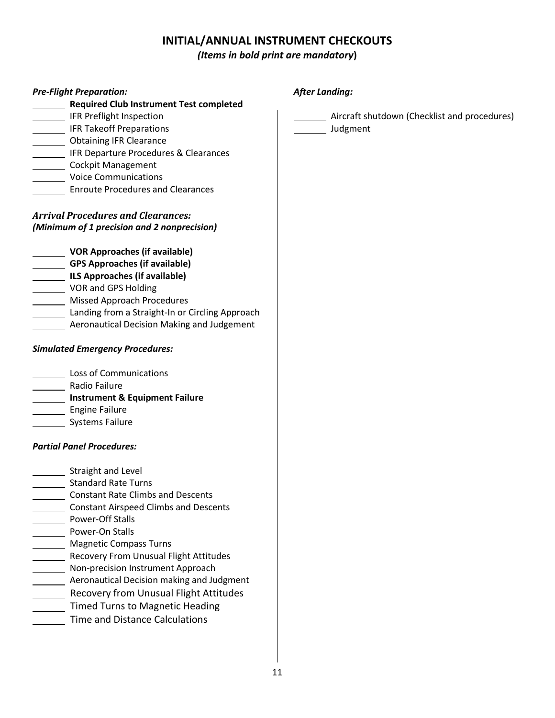# **INITIAL/ANNUAL INSTRUMENT CHECKOUTS**

# *(Items in bold print are mandatory***)**

| <b>Pre-Flight Preparation:</b><br>Required Club Instrument Test completed                                                                  | <b>After Landing:</b>                        |
|--------------------------------------------------------------------------------------------------------------------------------------------|----------------------------------------------|
| IFR Preflight Inspection                                                                                                                   | Aircraft shutdown (Checklist and procedures) |
| IFR Takeoff Preparations                                                                                                                   | Judgment                                     |
|                                                                                                                                            |                                              |
| Obtaining IFR Clearance                                                                                                                    |                                              |
| IFR Departure Procedures & Clearances                                                                                                      |                                              |
| Cockpit Management                                                                                                                         |                                              |
| <b>Voice Communications</b><br><b>Enroute Procedures and Clearances</b>                                                                    |                                              |
| <b>Arrival Procedures and Clearances:</b>                                                                                                  |                                              |
| (Minimum of 1 precision and 2 nonprecision)                                                                                                |                                              |
| VOR Approaches (if available)                                                                                                              |                                              |
| GPS Approaches (if available)                                                                                                              |                                              |
| ILS Approaches (if available)                                                                                                              |                                              |
| VOR and GPS Holding                                                                                                                        |                                              |
| Missed Approach Procedures                                                                                                                 |                                              |
| Landing from a Straight-In or Circling Approach                                                                                            |                                              |
| Aeronautical Decision Making and Judgement                                                                                                 |                                              |
|                                                                                                                                            |                                              |
|                                                                                                                                            |                                              |
|                                                                                                                                            |                                              |
|                                                                                                                                            |                                              |
| <b>Simulated Emergency Procedures:</b><br>Loss of Communications<br>Radio Failure<br><b>Lacker Lines</b> Engine Failure<br>Systems Failure |                                              |
| <b>Partial Panel Procedures:</b>                                                                                                           |                                              |
| Straight and Level                                                                                                                         |                                              |
| <b>Standard Rate Turns</b>                                                                                                                 |                                              |
| <b>Constant Rate Climbs and Descents</b>                                                                                                   |                                              |
| Constant Airspeed Climbs and Descents                                                                                                      |                                              |
|                                                                                                                                            |                                              |
|                                                                                                                                            |                                              |
| Power-Off Stalls<br>Power-On Stalls<br>_____ Magnetic Compass Turns                                                                        |                                              |
|                                                                                                                                            |                                              |
| Recovery From Unusual Flight Attitudes<br>Non-precision Instrument Approach                                                                |                                              |
| Aeronautical Decision making and Judgment                                                                                                  |                                              |
| Recovery from Unusual Flight Attitudes                                                                                                     |                                              |
| Timed Turns to Magnetic Heading                                                                                                            |                                              |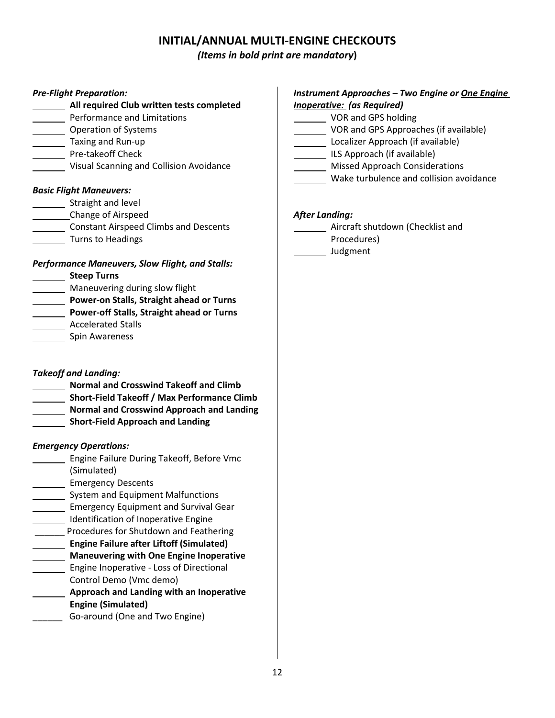# **INITIAL/ANNUAL MULTI-ENGINE CHECKOUTS**

#### *(Items in bold print are mandatory***)**

#### *Pre-Flight Preparation:*

- **All required Club written tests completed**
- **Performance and Limitations**
- Operation of Systems
- **Taxing and Run-up**
- Pre-takeoff Check
- Visual Scanning and Collision Avoidance

#### *Basic Flight Maneuvers:*

- **Straight and level**
- Change of Airspeed
- **Constant Airspeed Climbs and Descents**
- Turns to Headings

#### *Performance Maneuvers, Slow Flight, and Stalls:*

- **Steep Turns**
- **Maneuvering during slow flight**
- **Power-on Stalls, Straight ahead or Turns**
- **Power-off Stalls, Straight ahead or Turns**
- Accelerated Stalls
- Spin Awareness

### *Takeoff and Landing:*

- **Normal and Crosswind Takeoff and Climb**
- **Short-Field Takeoff / Max Performance Climb**
- **Normal and Crosswind Approach and Landing**
- **1221** Short-Field Approach and Landing

#### *Emergency Operations:*

- **Engine Failure During Takeoff, Before Vmc** (Simulated)
- **Emergency Descents**
- System and Equipment Malfunctions
- **Emergency Equipment and Survival Gear**
- Identification of Inoperative Engine
- \_\_\_\_\_\_ Procedures for Shutdown and Feathering
- **Engine Failure after Liftoff (Simulated)**
- **Maneuvering with One Engine Inoperative**
- **Engine Inoperative Loss of Directional** Control Demo (Vmc demo)
- **Approach and Landing with an Inoperative Engine (Simulated)**
- \_\_\_\_\_\_ Go-around (One and Two Engine)

#### *Instrument Approaches – Two Engine or One Engine Inoperative: (as Required)*

- VOR and GPS holding
- **VOR and GPS Approaches (if available)**
- Localizer Approach (if available)
- ILS Approach (if available)
	- Missed Approach Considerations
	- Wake turbulence and collision avoidance

#### *After Landing:*

- **Aircraft shutdown (Checklist and** Procedures)
- Judgment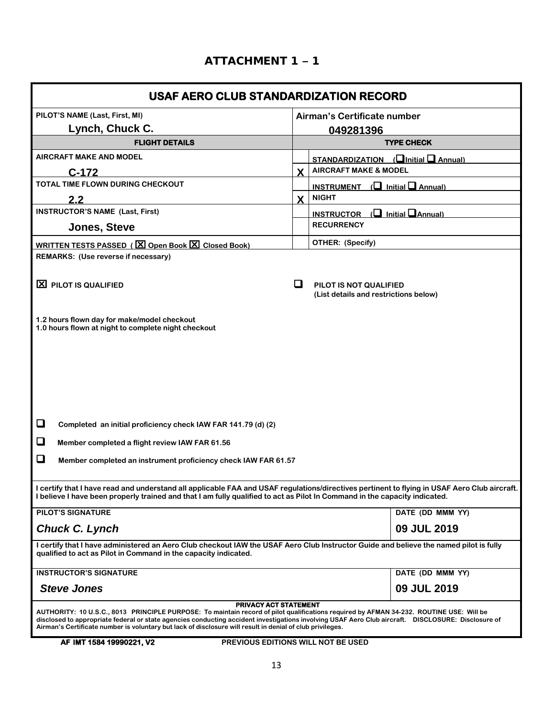| <b>USAF AERO CLUB STANDARDIZATION RECORD</b>                                                                                                                                                                                                                                                                                                                                                                                        |                   |                                                                 |  |  |
|-------------------------------------------------------------------------------------------------------------------------------------------------------------------------------------------------------------------------------------------------------------------------------------------------------------------------------------------------------------------------------------------------------------------------------------|-------------------|-----------------------------------------------------------------|--|--|
| PILOT'S NAME (Last, First, MI)<br>Airman's Certificate number                                                                                                                                                                                                                                                                                                                                                                       |                   |                                                                 |  |  |
| Lynch, Chuck C.                                                                                                                                                                                                                                                                                                                                                                                                                     |                   | 049281396                                                       |  |  |
| <b>FLIGHT DETAILS</b>                                                                                                                                                                                                                                                                                                                                                                                                               | <b>TYPE CHECK</b> |                                                                 |  |  |
| <b>AIRCRAFT MAKE AND MODEL</b>                                                                                                                                                                                                                                                                                                                                                                                                      |                   | STANDARDIZATION $(\Box$ Initial $\Box$ Annual)                  |  |  |
| $C-172$                                                                                                                                                                                                                                                                                                                                                                                                                             | X.                | <b>AIRCRAFT MAKE &amp; MODEL</b>                                |  |  |
| TOTAL TIME FLOWN DURING CHECKOUT                                                                                                                                                                                                                                                                                                                                                                                                    |                   | <b>INSTRUMENT</b> $\left(\Box\right)$ Initial $\Box$ Annual)    |  |  |
| 2.2                                                                                                                                                                                                                                                                                                                                                                                                                                 | $\mathbf{x}$      | <b>NIGHT</b>                                                    |  |  |
| <b>INSTRUCTOR'S NAME (Last, First)</b>                                                                                                                                                                                                                                                                                                                                                                                              |                   | <b>INSTRUCTOR</b> $\left(\Box\right)$ Initial $\Box$ Annual)    |  |  |
| Jones, Steve                                                                                                                                                                                                                                                                                                                                                                                                                        |                   | <b>RECURRENCY</b>                                               |  |  |
| <b>WRITTEN TESTS PASSED (<math>\boxed{\boxtimes}</math> Open Book <math>\boxed{\boxtimes}</math> Closed Book)</b>                                                                                                                                                                                                                                                                                                                   |                   | OTHER: (Specify)                                                |  |  |
| <b>REMARKS: (Use reverse if necessary)</b>                                                                                                                                                                                                                                                                                                                                                                                          |                   |                                                                 |  |  |
| X PILOT IS QUALIFIED                                                                                                                                                                                                                                                                                                                                                                                                                | ப                 | PILOT IS NOT QUALIFIED<br>(List details and restrictions below) |  |  |
| 1.2 hours flown day for make/model checkout<br>1.0 hours flown at night to complete night checkout                                                                                                                                                                                                                                                                                                                                  |                   |                                                                 |  |  |
| ❏<br>Completed an initial proficiency check IAW FAR 141.79 (d) (2)                                                                                                                                                                                                                                                                                                                                                                  |                   |                                                                 |  |  |
| ❏<br>Member completed a flight review IAW FAR 61.56                                                                                                                                                                                                                                                                                                                                                                                 |                   |                                                                 |  |  |
| ❏<br>Member completed an instrument proficiency check IAW FAR 61.57                                                                                                                                                                                                                                                                                                                                                                 |                   |                                                                 |  |  |
| I certify that I have read and understand all applicable FAA and USAF regulations/directives pertinent to flying in USAF Aero Club aircraft.<br>I believe I have been properly trained and that I am fully qualified to act as Pilot In Command in the capacity indicated.                                                                                                                                                          |                   |                                                                 |  |  |
| <b>PILOT'S SIGNATURE</b>                                                                                                                                                                                                                                                                                                                                                                                                            |                   | DATE (DD MMM YY)                                                |  |  |
| <b>Chuck C. Lynch</b>                                                                                                                                                                                                                                                                                                                                                                                                               |                   | 09 JUL 2019                                                     |  |  |
| I certify that I have administered an Aero Club checkout IAW the USAF Aero Club Instructor Guide and believe the named pilot is fully<br>qualified to act as Pilot in Command in the capacity indicated.                                                                                                                                                                                                                            |                   |                                                                 |  |  |
| <b>INSTRUCTOR'S SIGNATURE</b>                                                                                                                                                                                                                                                                                                                                                                                                       |                   | DATE (DD MMM YY)                                                |  |  |
| <b>Steve Jones</b>                                                                                                                                                                                                                                                                                                                                                                                                                  |                   | 09 JUL 2019                                                     |  |  |
| PRIVACY ACT STATEMENT<br>AUTHORITY: 10 U.S.C., 8013 PRINCIPLE PURPOSE: To maintain record of pilot qualifications required by AFMAN 34-232. ROUTINE USE: Will be<br>disclosed to appropriate federal or state agencies conducting accident investigations involving USAF Aero Club aircraft. DISCLOSURE: Disclosure of<br>Airman's Certificate number is voluntary but lack of disclosure will result in denial of club privileges. |                   |                                                                 |  |  |

**AF IMT 1584 19990221, V2 PREVIOUS EDITIONS WILL NOT BE USED**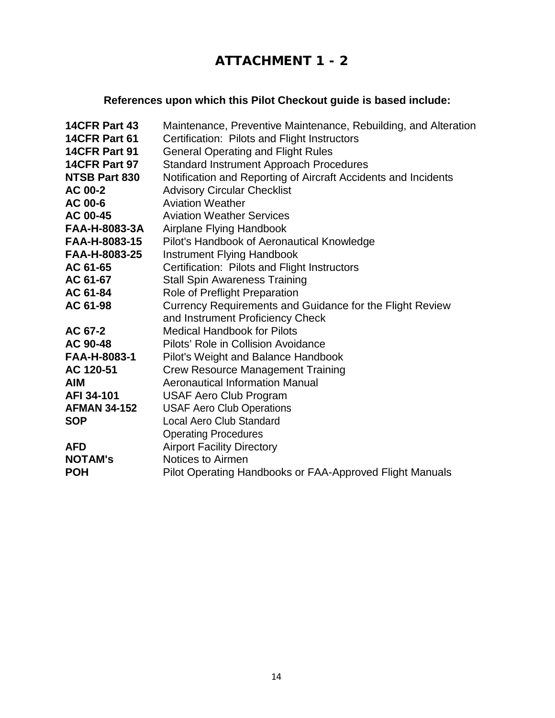# **ATTACHMENT 1 - 2**

# **References upon which this Pilot Checkout guide is based include:**

| 14CFR Part 43        | Maintenance, Preventive Maintenance, Rebuilding, and Alteration |
|----------------------|-----------------------------------------------------------------|
| 14CFR Part 61        | Certification: Pilots and Flight Instructors                    |
| 14CFR Part 91        | <b>General Operating and Flight Rules</b>                       |
| 14CFR Part 97        | <b>Standard Instrument Approach Procedures</b>                  |
| <b>NTSB Part 830</b> | Notification and Reporting of Aircraft Accidents and Incidents  |
| AC 00-2              | <b>Advisory Circular Checklist</b>                              |
| AC 00-6              | <b>Aviation Weather</b>                                         |
| AC 00-45             | <b>Aviation Weather Services</b>                                |
| FAA-H-8083-3A        | Airplane Flying Handbook                                        |
| FAA-H-8083-15        | Pilot's Handbook of Aeronautical Knowledge                      |
| FAA-H-8083-25        | Instrument Flying Handbook                                      |
| AC 61-65             | Certification: Pilots and Flight Instructors                    |
| AC 61-67             | <b>Stall Spin Awareness Training</b>                            |
| AC 61-84             | Role of Preflight Preparation                                   |
| AC 61-98             | Currency Requirements and Guidance for the Flight Review        |
|                      | and Instrument Proficiency Check                                |
| AC 67-2              | <b>Medical Handbook for Pilots</b>                              |
| AC 90-48             | Pilots' Role in Collision Avoidance                             |
| FAA-H-8083-1         | Pilot's Weight and Balance Handbook                             |
| AC 120-51            | <b>Crew Resource Management Training</b>                        |
| <b>AIM</b>           | <b>Aeronautical Information Manual</b>                          |
| AFI 34-101           | <b>USAF Aero Club Program</b>                                   |
| <b>AFMAN 34-152</b>  | <b>USAF Aero Club Operations</b>                                |
| <b>SOP</b>           | <b>Local Aero Club Standard</b>                                 |
|                      | <b>Operating Procedures</b>                                     |
| <b>AFD</b>           | <b>Airport Facility Directory</b>                               |
| <b>NOTAM's</b>       | Notices to Airmen                                               |
| <b>POH</b>           | Pilot Operating Handbooks or FAA-Approved Flight Manuals        |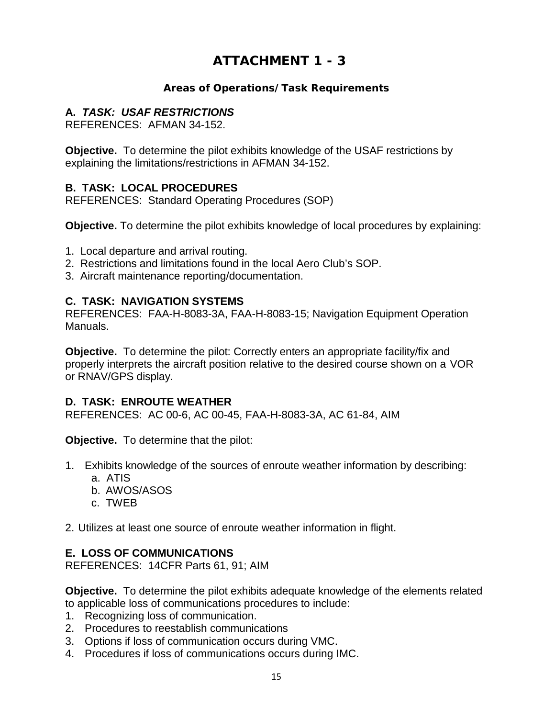# **ATTACHMENT 1 - 3**

### **Areas of Operations/Task Requirements**

### **A.** *TASK: USAF RESTRICTIONS*

REFERENCES: AFMAN 34-152.

**Objective.** To determine the pilot exhibits knowledge of the USAF restrictions by explaining the limitations/restrictions in AFMAN 34-152.

### **B. TASK: LOCAL PROCEDURES**

REFERENCES: Standard Operating Procedures (SOP)

**Objective.** To determine the pilot exhibits knowledge of local procedures by explaining:

- 1. Local departure and arrival routing.
- 2. Restrictions and limitations found in the local Aero Club's SOP.
- 3. Aircraft maintenance reporting/documentation.

### **C. TASK: NAVIGATION SYSTEMS**

REFERENCES: FAA-H-8083-3A, FAA-H-8083-15; Navigation Equipment Operation Manuals.

**Objective.** To determine the pilot: Correctly enters an appropriate facility/fix and properly interprets the aircraft position relative to the desired course shown on a VOR or RNAV/GPS display.

### **D. TASK: ENROUTE WEATHER**

REFERENCES: AC 00-6, AC 00-45, FAA-H-8083-3A, AC 61-84, AIM

**Objective.** To determine that the pilot:

- 1. Exhibits knowledge of the sources of enroute weather information by describing: a. ATIS
	- b. AWOS/ASOS
	- c. TWEB
- 2. Utilizes at least one source of enroute weather information in flight.

### **E. LOSS OF COMMUNICATIONS**

REFERENCES: 14CFR Parts 61, 91; AIM

**Objective.** To determine the pilot exhibits adequate knowledge of the elements related to applicable loss of communications procedures to include:

- 1. Recognizing loss of communication.
- 2. Procedures to reestablish communications
- 3. Options if loss of communication occurs during VMC.
- 4. Procedures if loss of communications occurs during IMC.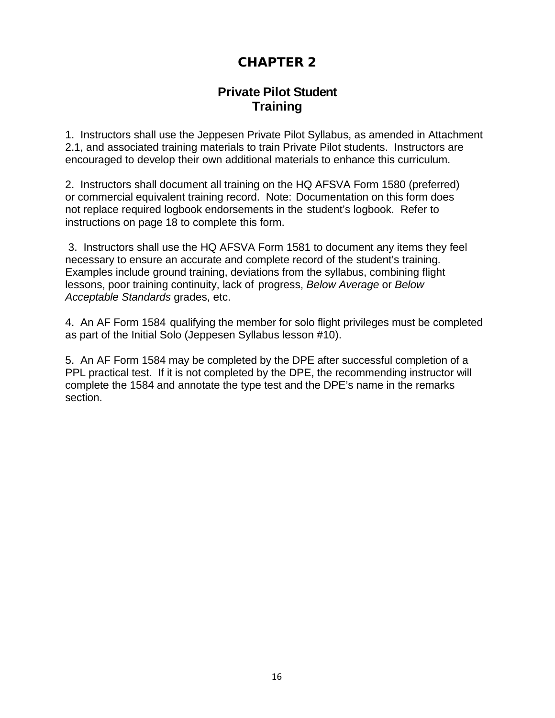# **CHAPTER 2**

# **Private Pilot Student Training**

1. Instructors shall use the Jeppesen Private Pilot Syllabus, as amended in Attachment 2.1, and associated training materials to train Private Pilot students. Instructors are encouraged to develop their own additional materials to enhance this curriculum.

2. Instructors shall document all training on the HQ AFSVA Form 1580 (preferred) or commercial equivalent training record. Note: Documentation on this form does not replace required logbook endorsements in the student's logbook. Refer to instructions on page 18 to complete this form.

3. Instructors shall use the HQ AFSVA Form 1581 to document any items they feel necessary to ensure an accurate and complete record of the student's training. Examples include ground training, deviations from the syllabus, combining flight lessons, poor training continuity, lack of progress, *Below Average* or *Below Acceptable Standards* grades, etc.

4. An AF Form 1584 qualifying the member for solo flight privileges must be completed as part of the Initial Solo (Jeppesen Syllabus lesson #10).

5. An AF Form 1584 may be completed by the DPE after successful completion of a PPL practical test. If it is not completed by the DPE, the recommending instructor will complete the 1584 and annotate the type test and the DPE's name in the remarks section.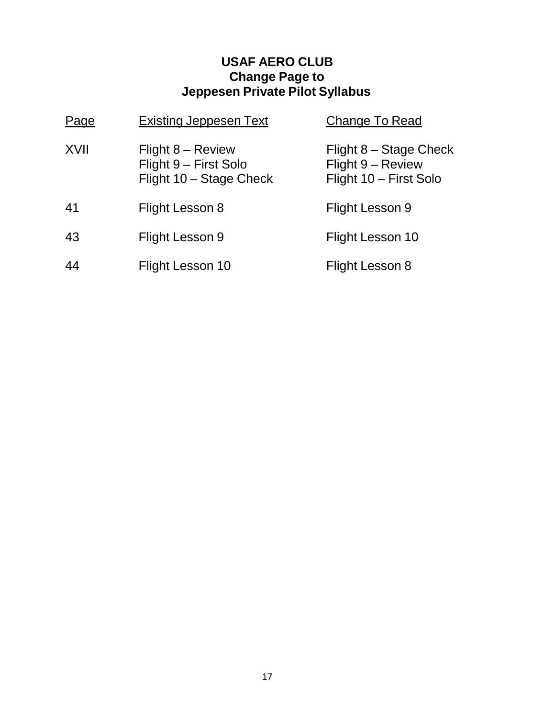# **USAF AERO CLUB Change Page to Jeppesen Private Pilot Syllabus**

| Page | <b>Existing Jeppesen Text</b>                                           | <b>Change To Read</b>                                                 |
|------|-------------------------------------------------------------------------|-----------------------------------------------------------------------|
| XVII | Flight $8 -$ Review<br>Flight 9 - First Solo<br>Flight 10 - Stage Check | Flight 8 – Stage Check<br>Flight 9 - Review<br>Flight 10 - First Solo |
| 41   | Flight Lesson 8                                                         | Flight Lesson 9                                                       |
| 43   | Flight Lesson 9                                                         | Flight Lesson 10                                                      |
| 44   | Flight Lesson 10                                                        | Flight Lesson 8                                                       |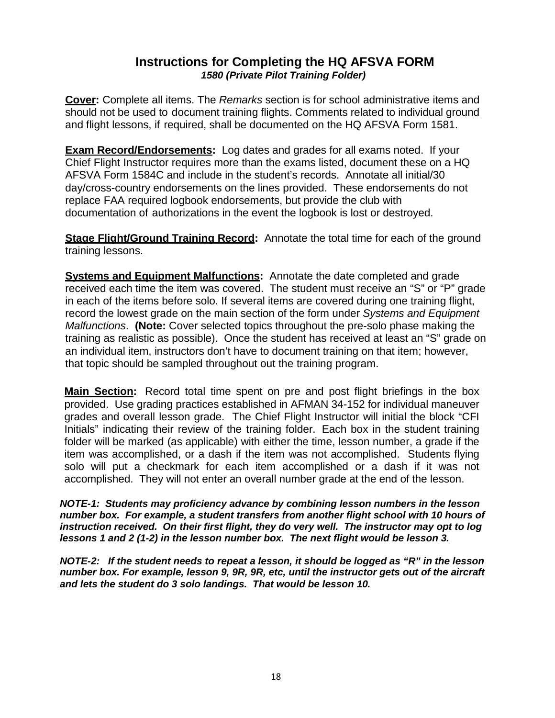# **Instructions for Completing the HQ AFSVA FORM**  *1580 (Private Pilot Training Folder)*

**Cover:** Complete all items. The *Remarks* section is for school administrative items and should not be used to document training flights. Comments related to individual ground and flight lessons, if required, shall be documented on the HQ AFSVA Form 1581.

**Exam Record/Endorsements:** Log dates and grades for all exams noted. If your Chief Flight Instructor requires more than the exams listed, document these on a HQ AFSVA Form 1584C and include in the student's records. Annotate all initial/30 day/cross-country endorsements on the lines provided. These endorsements do not replace FAA required logbook endorsements, but provide the club with documentation of authorizations in the event the logbook is lost or destroyed.

**Stage Flight/Ground Training Record:** Annotate the total time for each of the ground training lessons.

**Systems and Equipment Malfunctions:** Annotate the date completed and grade received each time the item was covered. The student must receive an "S" or "P" grade in each of the items before solo. If several items are covered during one training flight, record the lowest grade on the main section of the form under *Systems and Equipment Malfunctions*. **(Note:** Cover selected topics throughout the pre-solo phase making the training as realistic as possible). Once the student has received at least an "S" grade on an individual item, instructors don't have to document training on that item; however, that topic should be sampled throughout out the training program.

**Main Section:** Record total time spent on pre and post flight briefings in the box provided. Use grading practices established in AFMAN 34-152 for individual maneuver grades and overall lesson grade. The Chief Flight Instructor will initial the block "CFI Initials" indicating their review of the training folder. Each box in the student training folder will be marked (as applicable) with either the time, lesson number, a grade if the item was accomplished, or a dash if the item was not accomplished. Students flying solo will put a checkmark for each item accomplished or a dash if it was not accomplished. They will not enter an overall number grade at the end of the lesson.

*NOTE-1: Students may proficiency advance by combining lesson numbers in the lesson number box. For example, a student transfers from another flight school with 10 hours of instruction received. On their first flight, they do very well. The instructor may opt to log lessons 1 and 2 (1-2) in the lesson number box. The next flight would be lesson 3.* 

*NOTE-2: If the student needs to repeat a lesson, it should be logged as "R" in the lesson number box. For example, lesson 9, 9R, 9R, etc, until the instructor gets out of the aircraft and lets the student do 3 solo landings. That would be lesson 10.*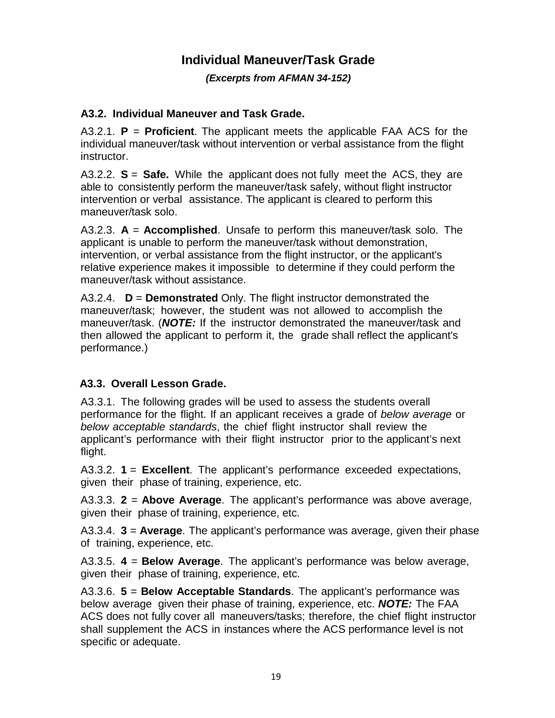# **Individual Maneuver/Task Grade**

*(Excerpts from AFMAN 34-152)*

### **A3.2. Individual Maneuver and Task Grade.**

A3.2.1. **P** = **Proficient**. The applicant meets the applicable FAA ACS for the individual maneuver/task without intervention or verbal assistance from the flight instructor.

A3.2.2. **S** = **Safe.** While the applicant does not fully meet the ACS, they are able to consistently perform the maneuver/task safely, without flight instructor intervention or verbal assistance. The applicant is cleared to perform this maneuver/task solo.

A3.2.3. **A** = **Accomplished**. Unsafe to perform this maneuver/task solo. The applicant is unable to perform the maneuver/task without demonstration, intervention, or verbal assistance from the flight instructor, or the applicant's relative experience makes it impossible to determine if they could perform the maneuver/task without assistance.

A3.2.4. **D** = **Demonstrated** Only. The flight instructor demonstrated the maneuver/task; however, the student was not allowed to accomplish the maneuver/task. (*NOTE:* If the instructor demonstrated the maneuver/task and then allowed the applicant to perform it, the grade shall reflect the applicant's performance.)

# **A3.3. Overall Lesson Grade.**

A3.3.1. The following grades will be used to assess the students overall performance for the flight. If an applicant receives a grade of *below average* or *below acceptable standards*, the chief flight instructor shall review the applicant's performance with their flight instructor prior to the applicant's next flight.

A3.3.2. **1** = **Excellent**. The applicant's performance exceeded expectations, given their phase of training, experience, etc.

A3.3.3. **2** = **Above Average**. The applicant's performance was above average, given their phase of training, experience, etc.

A3.3.4. **3** = **Average**. The applicant's performance was average, given their phase of training, experience, etc.

A3.3.5. **4** = **Below Average**. The applicant's performance was below average, given their phase of training, experience, etc.

A3.3.6. **5** = **Below Acceptable Standards**. The applicant's performance was below average given their phase of training, experience, etc. *NOTE:* The FAA ACS does not fully cover all maneuvers/tasks; therefore, the chief flight instructor shall supplement the ACS in instances where the ACS performance level is not specific or adequate.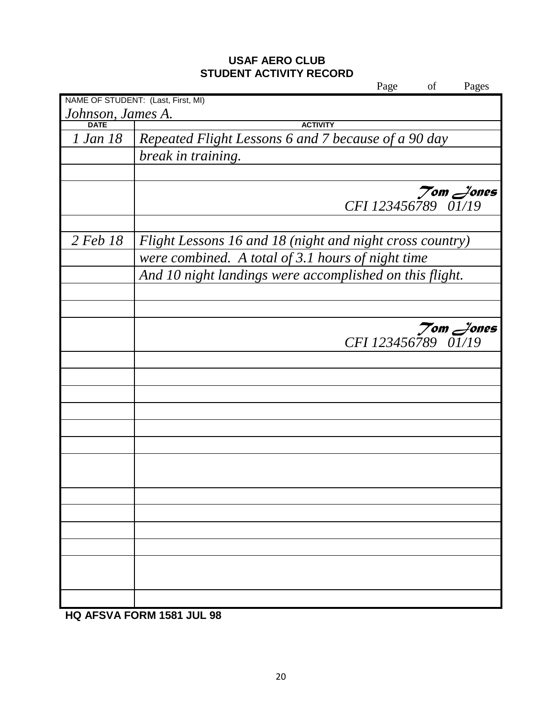# **USAF AERO CLUB STUDENT ACTIVITY RECORD**

|                   | Page<br>of                                               | Pages |
|-------------------|----------------------------------------------------------|-------|
|                   | NAME OF STUDENT: (Last, First, MI)                       |       |
| Johnson, James A. |                                                          |       |
| <b>DATE</b>       | <b>ACTIVITY</b>                                          |       |
| 1 Jan 18          | Repeated Flight Lessons 6 and 7 because of a 90 day      |       |
|                   | break in training.                                       |       |
|                   |                                                          |       |
|                   |                                                          |       |
|                   | $Z$ om $Z$ ones<br>CFI 123456789 01/19                   |       |
|                   |                                                          |       |
|                   |                                                          |       |
| 2 Feb 18          | Flight Lessons 16 and 18 (night and night cross country) |       |
|                   | were combined. A total of 3.1 hours of night time        |       |
|                   | And 10 night landings were accomplished on this flight.  |       |
|                   |                                                          |       |
|                   |                                                          |       |
|                   |                                                          |       |
|                   | $Z$ om $Z$ ones                                          |       |
|                   | CFI 123456789 01/19                                      |       |
|                   |                                                          |       |
|                   |                                                          |       |
|                   |                                                          |       |
|                   |                                                          |       |
|                   |                                                          |       |
|                   |                                                          |       |
|                   |                                                          |       |
|                   |                                                          |       |
|                   |                                                          |       |
|                   |                                                          |       |
|                   |                                                          |       |
|                   |                                                          |       |
|                   |                                                          |       |
|                   |                                                          |       |
|                   |                                                          |       |
|                   |                                                          |       |
|                   |                                                          |       |

**HQ AFSVA FORM 1581 JUL 98**